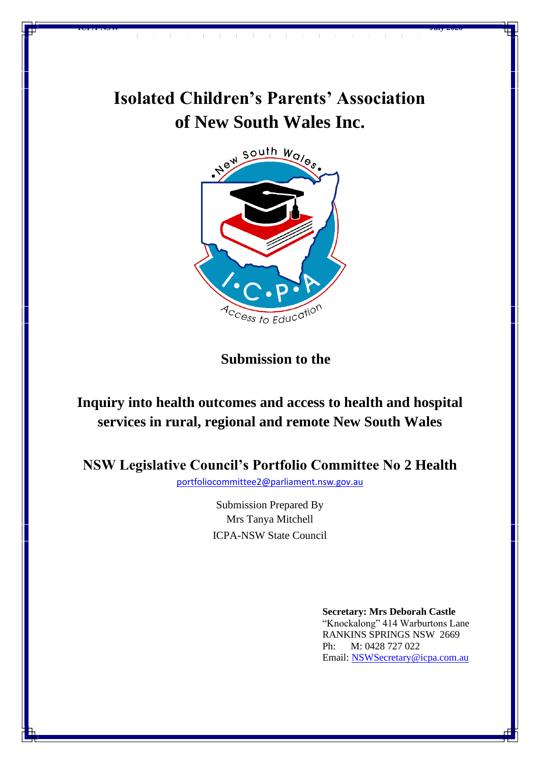

**ICPA-NSW July 2020**



**Submission to the**

# **Inquiry into health outcomes and access to health and hospital services in rural, regional and remote New South Wales**

**NSW Legislative Council's Portfolio Committee No 2 Health**

[portfoliocommittee2@parliament.nsw.gov.au](mailto:portfoliocommittee2@parliament.nsw.gov.au)

Submission Prepared By Mrs Tanya Mitchell ICPA-NSW State Council

> **Secretary: Mrs Deborah Castle** "Knockalong" 414 Warburtons Lane RANKINS SPRINGS NSW 2669 Ph: M: 0428 727 022 Email: [NSWSecretary@icpa.com.au](mailto:NSWSecretary@icpa.com.au)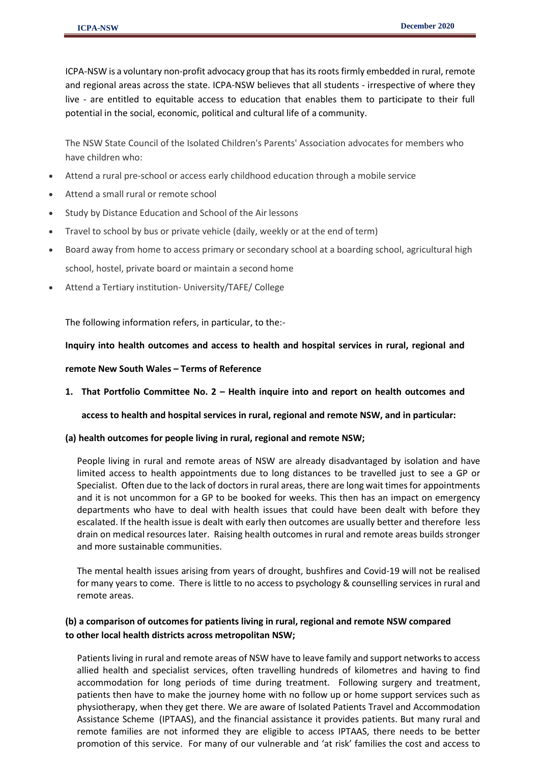ICPA-NSW is a voluntary non-profit advocacy group that has its roots firmly embedded in rural, remote and regional areas across the state. ICPA-NSW believes that all students - irrespective of where they live - are entitled to equitable access to education that enables them to participate to their full potential in the social, economic, political and cultural life of a community.

The NSW State Council of the Isolated Children's Parents' Association advocates for members who have children who:

- Attend a rural pre-school or access early childhood education through a mobile service
- Attend a small rural or remote school
- Study by Distance Education and School of the Air lessons
- Travel to school by bus or private vehicle (daily, weekly or at the end of term)
- Board away from home to access primary or secondary school at a boarding school, agricultural high school, hostel, private board or maintain a second home
- Attend a Tertiary institution- University/TAFE/ College

The following information refers, in particular, to the:-

**Inquiry into health outcomes and access to health and hospital services in rural, regional and** 

#### **remote New South Wales – Terms of Reference**

**1. That Portfolio Committee No. 2 – Health inquire into and report on health outcomes and** 

**access to health and hospital services in rural, regional and remote NSW, and in particular:**

**(a) health outcomes for people living in rural, regional and remote NSW;**

People living in rural and remote areas of NSW are already disadvantaged by isolation and have limited access to health appointments due to long distances to be travelled just to see a GP or Specialist. Often due to the lack of doctors in rural areas, there are long wait times for appointments and it is not uncommon for a GP to be booked for weeks. This then has an impact on emergency departments who have to deal with health issues that could have been dealt with before they escalated. If the health issue is dealt with early then outcomes are usually better and therefore less drain on medical resources later. Raising health outcomes in rural and remote areas builds stronger and more sustainable communities.

The mental health issues arising from years of drought, bushfires and Covid-19 will not be realised for many years to come. There is little to no access to psychology & counselling services in rural and remote areas.

# **(b) a comparison of outcomes for patients living in rural, regional and remote NSW compared to other local health districts across metropolitan NSW;**

Patients living in rural and remote areas of NSW have to leave family and support networks to access allied health and specialist services, often travelling hundreds of kilometres and having to find accommodation for long periods of time during treatment. Following surgery and treatment, patients then have to make the journey home with no follow up or home support services such as physiotherapy, when they get there. We are aware of Isolated Patients Travel and Accommodation Assistance Scheme (IPTAAS), and the financial assistance it provides patients. But many rural and remote families are not informed they are eligible to access IPTAAS, there needs to be better promotion of this service. For many of our vulnerable and 'at risk' families the cost and access to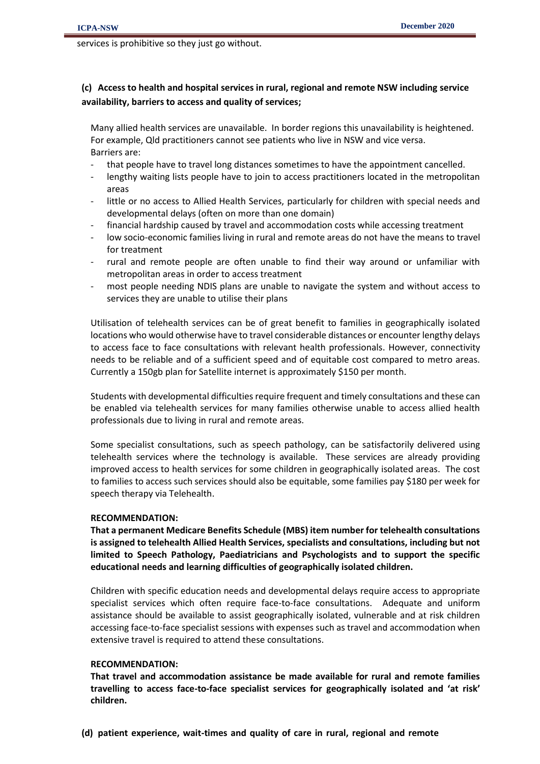services is prohibitive so they just go without.

# **(c) Access to health and hospital services in rural, regional and remote NSW including service availability, barriers to access and quality of services;**

Many allied health services are unavailable. In border regions this unavailability is heightened. For example, Qld practitioners cannot see patients who live in NSW and vice versa. Barriers are:

- that people have to travel long distances sometimes to have the appointment cancelled.
- lengthy waiting lists people have to join to access practitioners located in the metropolitan areas
- little or no access to Allied Health Services, particularly for children with special needs and developmental delays (often on more than one domain)
- financial hardship caused by travel and accommodation costs while accessing treatment
- low socio-economic families living in rural and remote areas do not have the means to travel for treatment
- rural and remote people are often unable to find their way around or unfamiliar with metropolitan areas in order to access treatment
- most people needing NDIS plans are unable to navigate the system and without access to services they are unable to utilise their plans

Utilisation of telehealth services can be of great benefit to families in geographically isolated locations who would otherwise have to travel considerable distances or encounter lengthy delays to access face to face consultations with relevant health professionals. However, connectivity needs to be reliable and of a sufficient speed and of equitable cost compared to metro areas. Currently a 150gb plan for Satellite internet is approximately \$150 per month.

Students with developmental difficulties require frequent and timely consultations and these can be enabled via telehealth services for many families otherwise unable to access allied health professionals due to living in rural and remote areas.

Some specialist consultations, such as speech pathology, can be satisfactorily delivered using telehealth services where the technology is available. These services are already providing improved access to health services for some children in geographically isolated areas. The cost to families to access such services should also be equitable, some families pay \$180 per week for speech therapy via Telehealth.

## **RECOMMENDATION:**

**That a permanent Medicare Benefits Schedule (MBS) item number for telehealth consultations is assigned to telehealth Allied Health Services, specialists and consultations, including but not limited to Speech Pathology, Paediatricians and Psychologists and to support the specific educational needs and learning difficulties of geographically isolated children.**

Children with specific education needs and developmental delays require access to appropriate specialist services which often require face-to-face consultations. Adequate and uniform assistance should be available to assist geographically isolated, vulnerable and at risk children accessing face-to-face specialist sessions with expenses such as travel and accommodation when extensive travel is required to attend these consultations.

## **RECOMMENDATION:**

**That travel and accommodation assistance be made available for rural and remote families travelling to access face-to-face specialist services for geographically isolated and 'at risk' children.**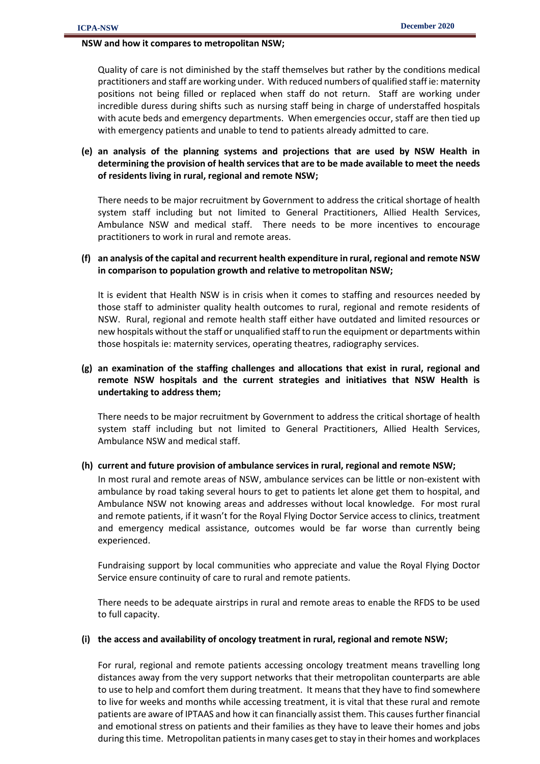## **NSW and how it compares to metropolitan NSW;**

Quality of care is not diminished by the staff themselves but rather by the conditions medical practitioners and staff are working under. With reduced numbers of qualified staff ie: maternity positions not being filled or replaced when staff do not return. Staff are working under incredible duress during shifts such as nursing staff being in charge of understaffed hospitals with acute beds and emergency departments. When emergencies occur, staff are then tied up with emergency patients and unable to tend to patients already admitted to care.

# **(e) an analysis of the planning systems and projections that are used by NSW Health in determining the provision of health services that are to be made available to meet the needs of residents living in rural, regional and remote NSW;**

There needs to be major recruitment by Government to address the critical shortage of health system staff including but not limited to General Practitioners, Allied Health Services, Ambulance NSW and medical staff. There needs to be more incentives to encourage practitioners to work in rural and remote areas.

## **(f) an analysis of the capital and recurrent health expenditure in rural, regional and remote NSW in comparison to population growth and relative to metropolitan NSW;**

It is evident that Health NSW is in crisis when it comes to staffing and resources needed by those staff to administer quality health outcomes to rural, regional and remote residents of NSW. Rural, regional and remote health staff either have outdated and limited resources or new hospitals without the staff or unqualified staff to run the equipment or departments within those hospitals ie: maternity services, operating theatres, radiography services.

# **(g) an examination of the staffing challenges and allocations that exist in rural, regional and remote NSW hospitals and the current strategies and initiatives that NSW Health is undertaking to address them;**

There needs to be major recruitment by Government to address the critical shortage of health system staff including but not limited to General Practitioners, Allied Health Services, Ambulance NSW and medical staff.

## **(h) current and future provision of ambulance services in rural, regional and remote NSW;**

In most rural and remote areas of NSW, ambulance services can be little or non-existent with ambulance by road taking several hours to get to patients let alone get them to hospital, and Ambulance NSW not knowing areas and addresses without local knowledge. For most rural and remote patients, if it wasn't for the Royal Flying Doctor Service access to clinics, treatment and emergency medical assistance, outcomes would be far worse than currently being experienced.

Fundraising support by local communities who appreciate and value the Royal Flying Doctor Service ensure continuity of care to rural and remote patients.

There needs to be adequate airstrips in rural and remote areas to enable the RFDS to be used to full capacity.

## **(i) the access and availability of oncology treatment in rural, regional and remote NSW;**

For rural, regional and remote patients accessing oncology treatment means travelling long distances away from the very support networks that their metropolitan counterparts are able to use to help and comfort them during treatment. It means that they have to find somewhere to live for weeks and months while accessing treatment, it is vital that these rural and remote patients are aware of IPTAAS and how it can financially assist them. This causes further financial and emotional stress on patients and their families as they have to leave their homes and jobs during this time. Metropolitan patients in many cases get to stay in their homes and workplaces